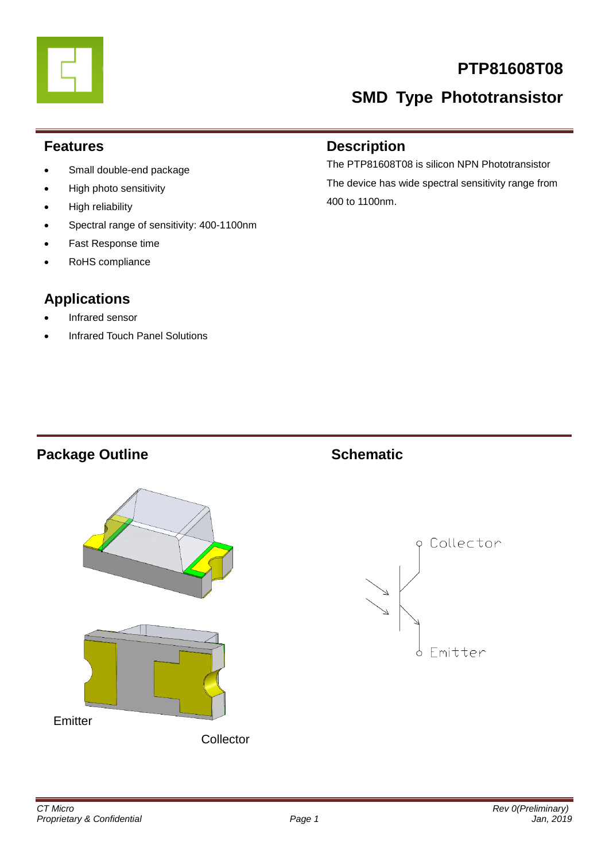

# **PTP81608T08**

# **SMD Type Phototransistor**

#### **Features**

- Small double-end package
- High photo sensitivity
- High reliability
- Spectral range of sensitivity: 400-1100nm
- Fast Response time
- RoHS compliance

# **Applications**

- Infrared sensor
- Infrared Touch Panel Solutions

#### **Description**

The PTP81608T08 is silicon NPN Phototransistor The device has wide spectral sensitivity range from 400 to 1100nm.

## **Package Outline Schematic**



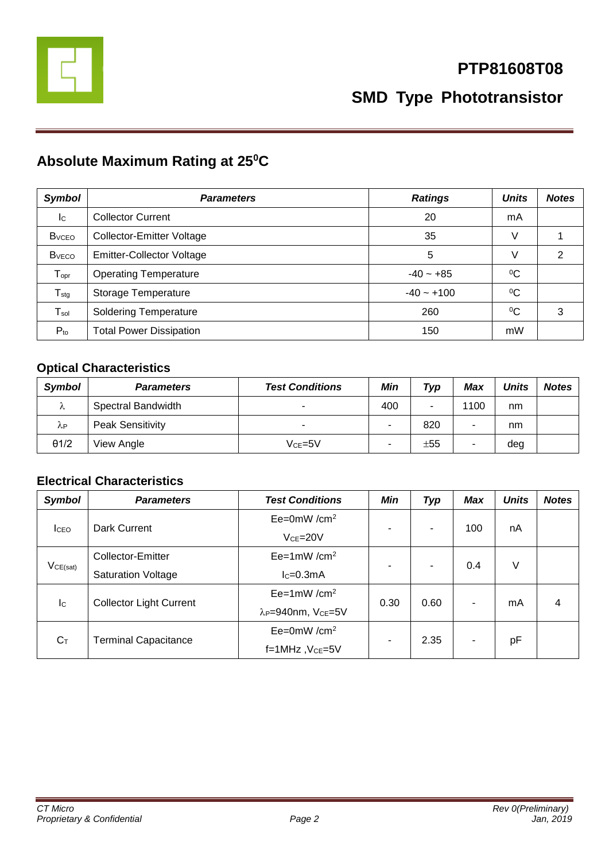

# **Absolute Maximum Rating at 25<sup>0</sup>C**

| <b>Symbol</b>             | <b>Parameters</b>                | <b>Ratings</b> | <b>Units</b> | <b>Notes</b> |
|---------------------------|----------------------------------|----------------|--------------|--------------|
| $\mathsf{I}^{\mathsf{C}}$ | <b>Collector Current</b>         | 20             | mA           |              |
| <b>B</b> <sub>vceo</sub>  | Collector-Emitter Voltage        | 35             | V            |              |
| <b>B</b> <sub>vECO</sub>  | <b>Emitter-Collector Voltage</b> | 5              | V            | 2            |
| $T_{\text{opt}}$          | <b>Operating Temperature</b>     | $-40 - +85$    | $\rm ^{0}C$  |              |
| $T_{\text{stg}}$          | Storage Temperature              | $-40 - +100$   | $\rm ^{0}C$  |              |
| $T_{sol}$                 | <b>Soldering Temperature</b>     | 260            | $\rm ^{0}C$  | 3            |
| $P_{to}$                  | <b>Total Power Dissipation</b>   | 150            | mW           |              |

### **Optical Characteristics**

| <b>Symbol</b> | <b>Parameters</b>       | <b>Test Conditions</b>   | Min | Typ | Max  | <b>Units</b> | <b>Notes</b> |
|---------------|-------------------------|--------------------------|-----|-----|------|--------------|--------------|
| Λ             | Spectral Bandwidth      | $\overline{\phantom{a}}$ | 400 |     | 1100 | nm           |              |
| λP            | <b>Peak Sensitivity</b> | $\overline{\phantom{a}}$ | ۰   | 820 |      | nm           |              |
| $\theta$ 1/2  | View Angle              | $Vce=5V$                 | ۰   | ±55 |      | deg          |              |

#### **Electrical Characteristics**

| <b>Symbol</b>             | <b>Parameters</b>              | <b>Test Conditions</b>                     | Min          | <b>Typ</b>     | Max | <b>Units</b> | <b>Notes</b> |
|---------------------------|--------------------------------|--------------------------------------------|--------------|----------------|-----|--------------|--------------|
| <b>I</b> CEO              |                                | $Ee=0mW/cm^2$                              | ۰            | ۰              | 100 | nA           |              |
|                           | Dark Current                   | $VCF = 20V$                                |              |                |     |              |              |
| $V_{CE(sat)}$             | Collector-Emitter              | $Ee=1mW/cm^2$                              | ٠            | $\blacksquare$ | 0.4 | V            |              |
|                           | <b>Saturation Voltage</b>      | $lc=0.3mA$                                 |              |                |     |              |              |
| $\mathsf{I}^{\mathsf{C}}$ |                                | $Ee=1mW/cm^2$                              | 0.30<br>0.60 |                |     |              |              |
|                           | <b>Collector Light Current</b> | λ <sub>P</sub> =940nm, V <sub>CE</sub> =5V |              |                | mA  | 4            |              |
| $C_T$                     |                                | $Ee=0mW/cm^2$                              |              |                |     |              |              |
|                           | <b>Terminal Capacitance</b>    | f=1MHz, V <sub>CE</sub> =5V                | ٠            | 2.35           |     | pF           |              |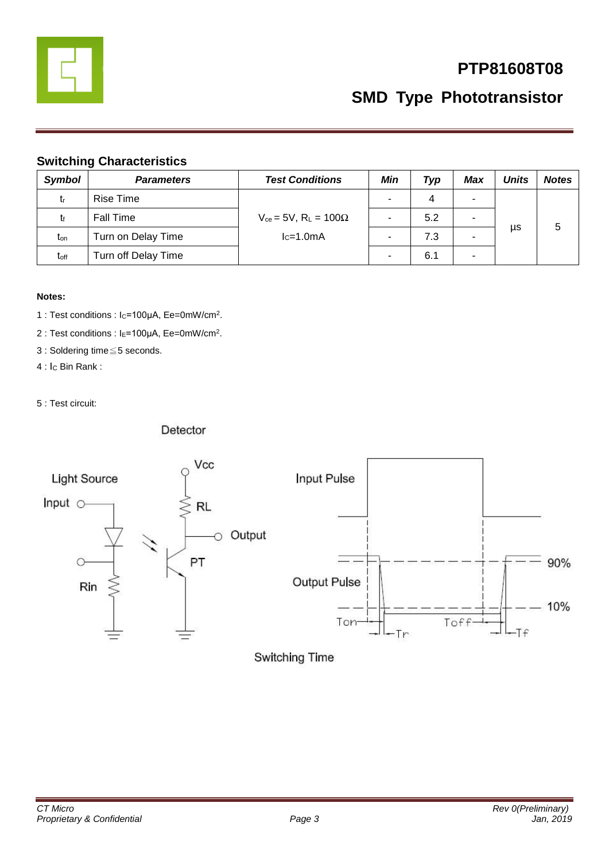

**SMD Type Phototransistor**

#### **Switching Characteristics**

| <b>Symbol</b>    | <b>Parameters</b>   | <b>Test Conditions</b>            | Min | Typ | Max | <b>Units</b> | <b>Notes</b> |
|------------------|---------------------|-----------------------------------|-----|-----|-----|--------------|--------------|
| $t_{r}$          | Rise Time           |                                   |     | 4   | ۰   |              |              |
| tr               | <b>Fall Time</b>    | $V_{ce} = 5V$ , $R_L = 100\Omega$ |     | 5.2 | ۰   |              |              |
| ton              | Turn on Delay Time  | $lc=1.0mA$                        |     | 7.3 | -   | μs           | G            |
| t <sub>off</sub> | Turn off Delay Time |                                   |     | 6.1 | ٠   |              |              |

#### **Notes:**

1 : Test conditions : Ic=100μA, Ee=0mW/cm<sup>2</sup>.

2 : Test conditions : I<sub>E</sub>=100μA, Ee=0mW/cm<sup>2</sup>.

3 : Soldering time≦5 seconds.

4 : I<sub>C</sub> Bin Rank :

5 : Test circuit:

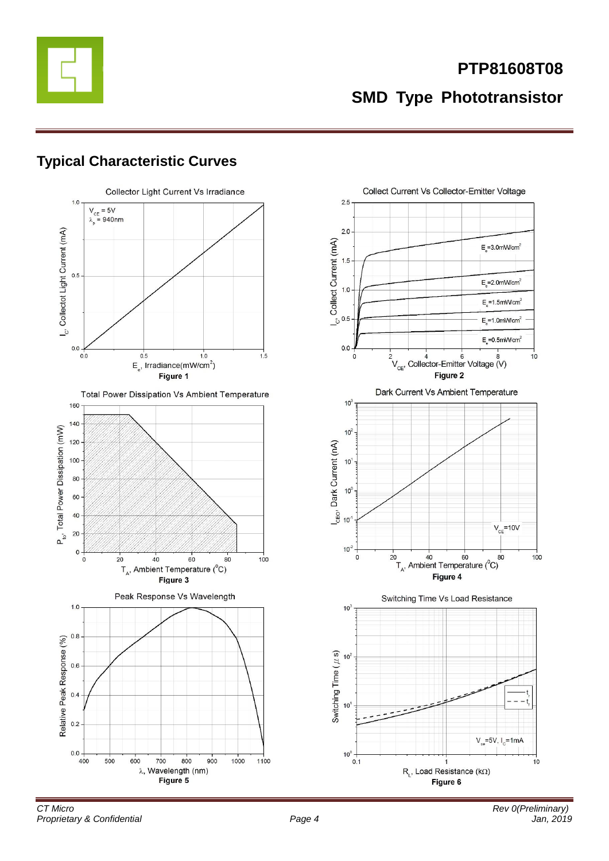

# **Typical Characteristic Curves**



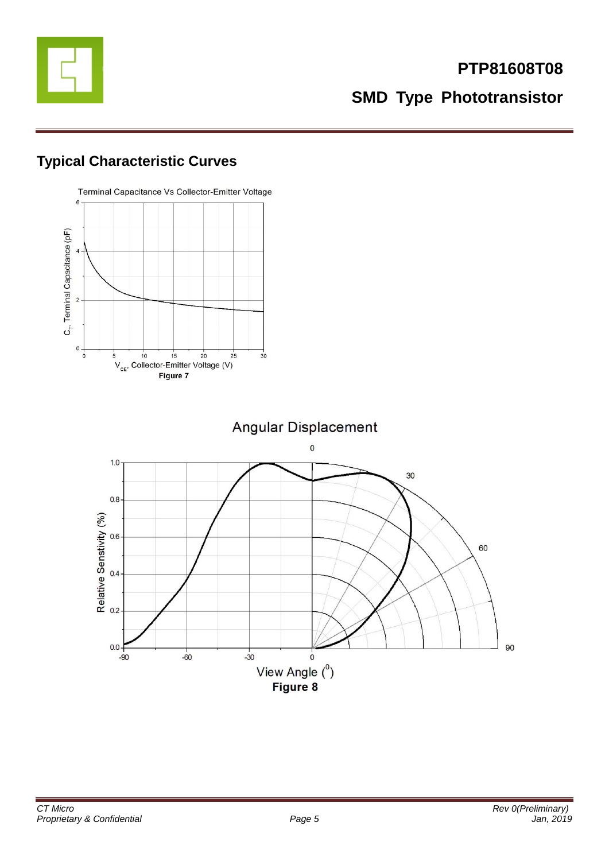

# **Typical Characteristic Curves**

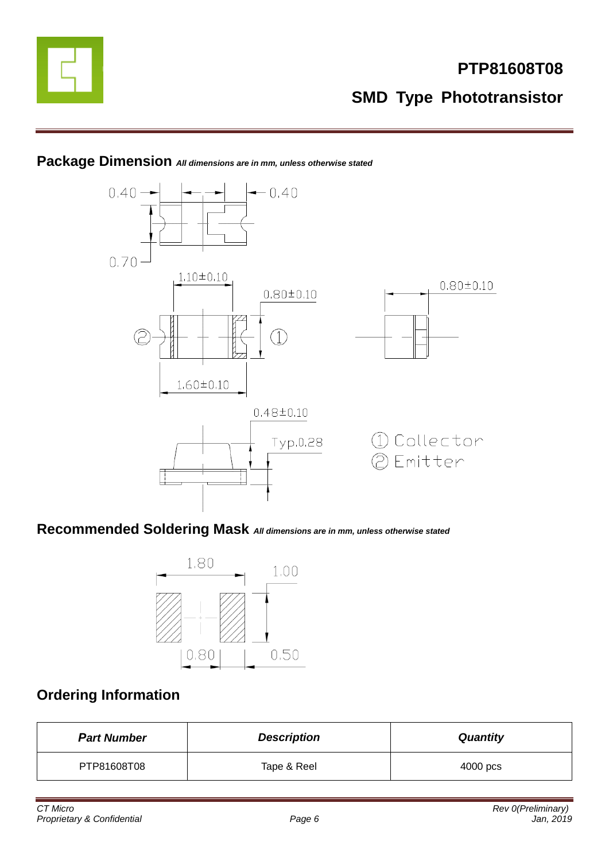

#### **Package Dimension** *All dimensions are in mm, unless otherwise stated*



# **Recommended Soldering Mask** *All dimensions are in mm, unless otherwise stated*



# **Ordering Information**

| <b>Part Number</b> | <b>Description</b> | <b>Quantity</b> |
|--------------------|--------------------|-----------------|
| PTP81608T08        | Tape & Reel        | 4000 pcs        |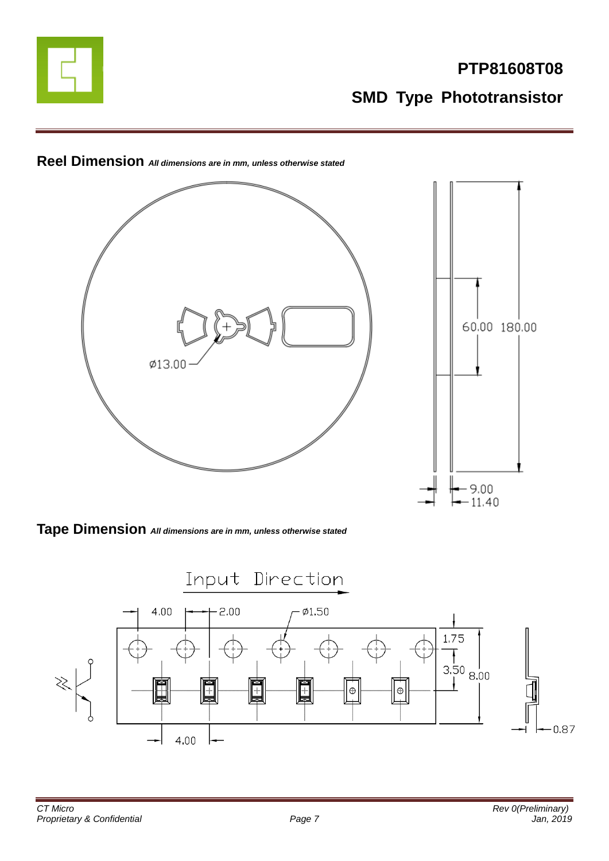



#### **Reel Dimension** *All dimensions are in mm, unless otherwise stated*

**Tape Dimension** *All dimensions are in mm, unless otherwise stated*

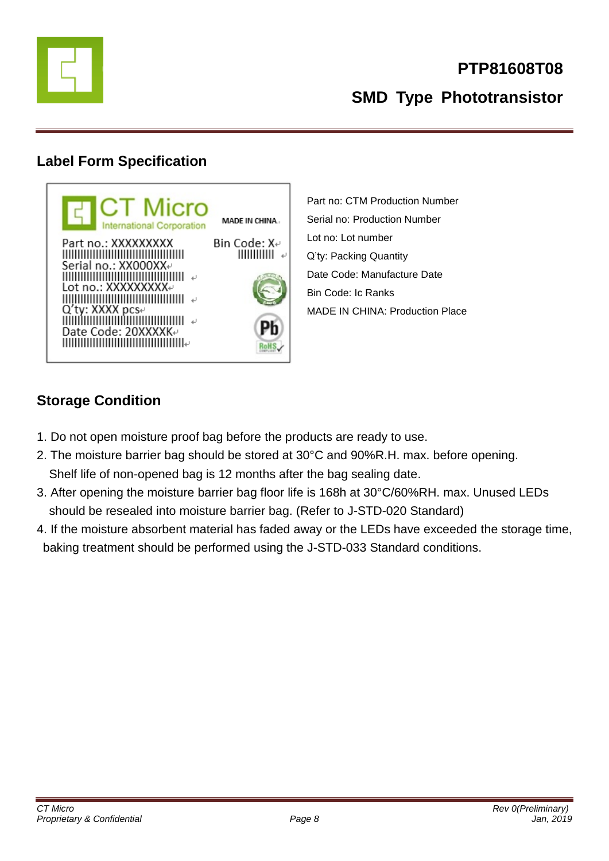

**SMD Type Phototransistor**

# **Label Form Specification**



Part no: CTM Production Number Serial no: Production Number Lot no: Lot number Q'ty: Packing Quantity Date Code: Manufacture Date Bin Code: Ic Ranks MADE IN CHINA: Production Place

# **Storage Condition**

- 1. Do not open moisture proof bag before the products are ready to use.
- 2. The moisture barrier bag should be stored at 30°C and 90%R.H. max. before opening. Shelf life of non-opened bag is 12 months after the bag sealing date.
- 3. After opening the moisture barrier bag floor life is 168h at 30°C/60%RH. max. Unused LEDs should be resealed into moisture barrier bag. (Refer to J-STD-020 Standard)
- 4. If the moisture absorbent material has faded away or the LEDs have exceeded the storage time, baking treatment should be performed using the J-STD-033 Standard conditions.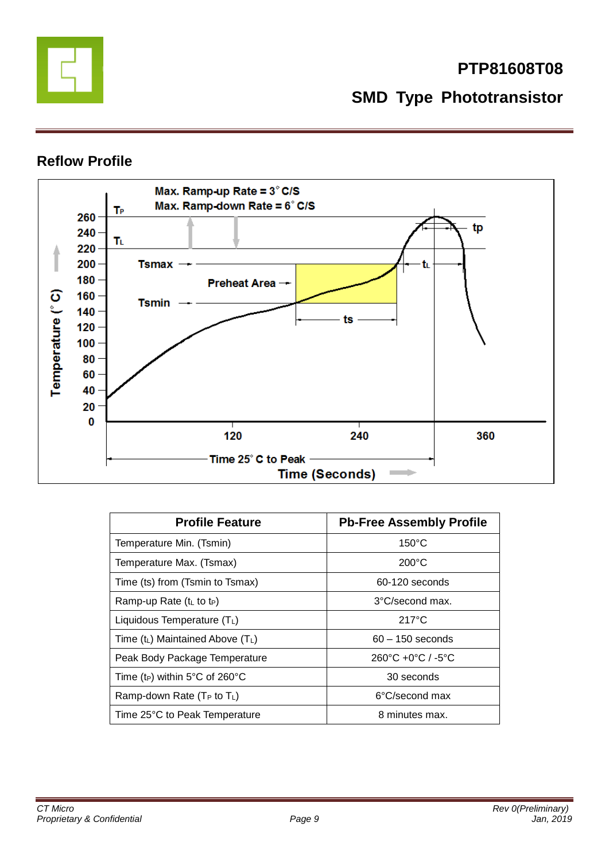

#### **Reflow Profile**



| <b>Profile Feature</b>                     | <b>Pb-Free Assembly Profile</b>                   |
|--------------------------------------------|---------------------------------------------------|
| Temperature Min. (Tsmin)                   | $150^{\circ}$ C                                   |
| Temperature Max. (Tsmax)                   | $200^{\circ}$ C                                   |
| Time (ts) from (Tsmin to Tsmax)            | 60-120 seconds                                    |
| Ramp-up Rate $(tL$ to t <sub>P</sub> )     | 3°C/second max.                                   |
| Liquidous Temperature $(T_L)$              | $217^{\circ}$ C                                   |
| Time $(t_L)$ Maintained Above $(T_L)$      | $60 - 150$ seconds                                |
| Peak Body Package Temperature              | $260^{\circ}$ C +0 $^{\circ}$ C / -5 $^{\circ}$ C |
| Time (t <sub>P</sub> ) within 5°C of 260°C | 30 seconds                                        |
| Ramp-down Rate ( $T_P$ to $T_L$ )          | 6°C/second max                                    |
| Time 25°C to Peak Temperature              | 8 minutes max.                                    |